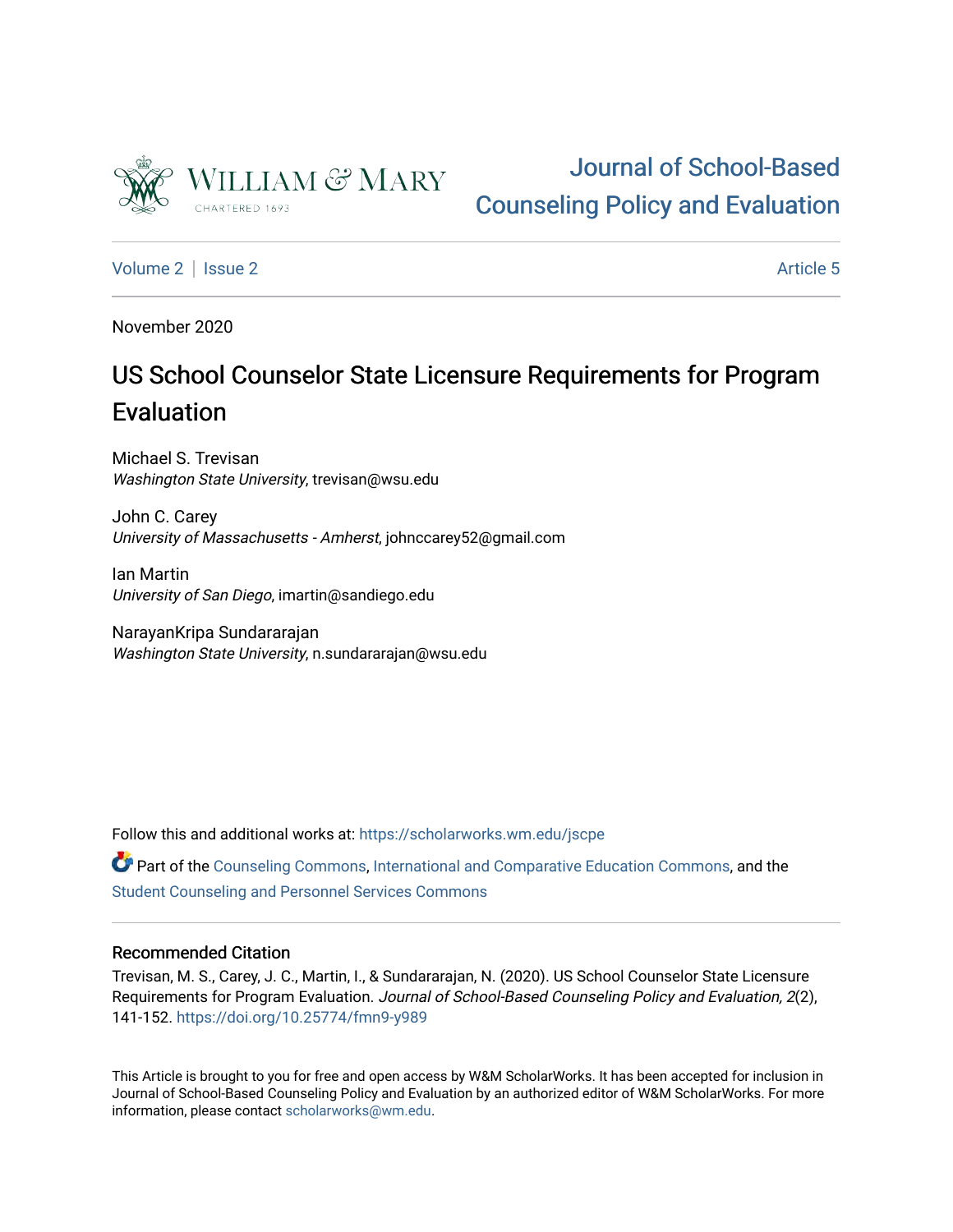

# [Journal of School-Based](https://scholarworks.wm.edu/jscpe)  [Counseling Policy and Evaluation](https://scholarworks.wm.edu/jscpe)

[Volume 2](https://scholarworks.wm.edu/jscpe/vol2) | [Issue 2](https://scholarworks.wm.edu/jscpe/vol2/iss2) Article 5

November 2020

# US School Counselor State Licensure Requirements for Program Evaluation

Michael S. Trevisan Washington State University, trevisan@wsu.edu

John C. Carey University of Massachusetts - Amherst, johnccarey52@gmail.com

Ian Martin University of San Diego, imartin@sandiego.edu

NarayanKripa Sundararajan Washington State University, n.sundararajan@wsu.edu

Follow this and additional works at: [https://scholarworks.wm.edu/jscpe](https://scholarworks.wm.edu/jscpe?utm_source=scholarworks.wm.edu%2Fjscpe%2Fvol2%2Fiss2%2F5&utm_medium=PDF&utm_campaign=PDFCoverPages) 

Part of the [Counseling Commons,](http://network.bepress.com/hgg/discipline/1268?utm_source=scholarworks.wm.edu%2Fjscpe%2Fvol2%2Fiss2%2F5&utm_medium=PDF&utm_campaign=PDFCoverPages) [International and Comparative Education Commons](http://network.bepress.com/hgg/discipline/797?utm_source=scholarworks.wm.edu%2Fjscpe%2Fvol2%2Fiss2%2F5&utm_medium=PDF&utm_campaign=PDFCoverPages), and the [Student Counseling and Personnel Services Commons](http://network.bepress.com/hgg/discipline/802?utm_source=scholarworks.wm.edu%2Fjscpe%2Fvol2%2Fiss2%2F5&utm_medium=PDF&utm_campaign=PDFCoverPages)

# Recommended Citation

Trevisan, M. S., Carey, J. C., Martin, I., & Sundararajan, N. (2020). US School Counselor State Licensure Requirements for Program Evaluation. Journal of School-Based Counseling Policy and Evaluation, 2(2), 141-152. <https://doi.org/10.25774/fmn9-y989>

This Article is brought to you for free and open access by W&M ScholarWorks. It has been accepted for inclusion in Journal of School-Based Counseling Policy and Evaluation by an authorized editor of W&M ScholarWorks. For more information, please contact [scholarworks@wm.edu](mailto:scholarworks@wm.edu).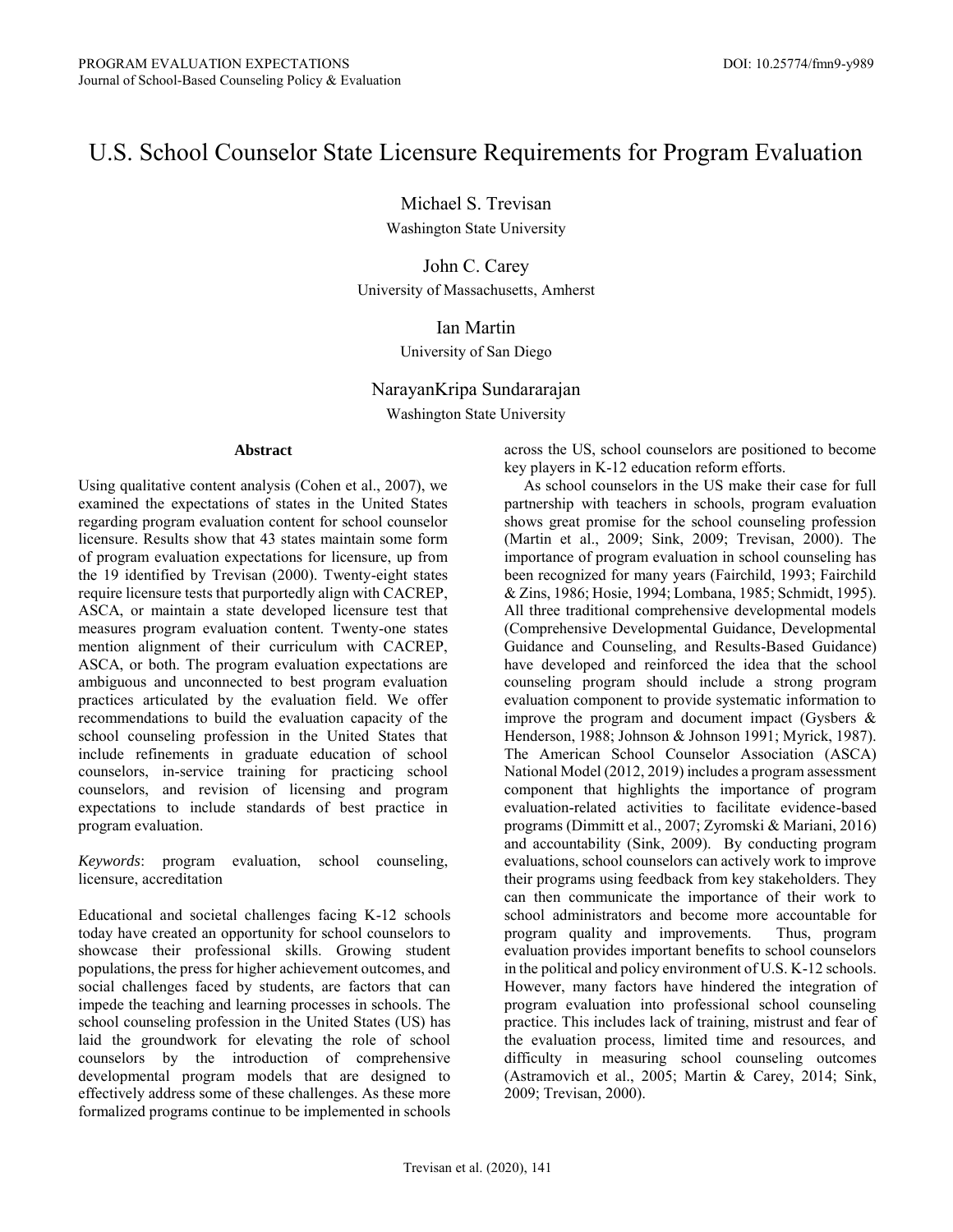# U.S. School Counselor State Licensure Requirements for Program Evaluation

Michael S. Trevisan

Washington State University

John C. Carey University of Massachusetts, Amherst

# Ian Martin

# University of San Diego

# NarayanKripa Sundararajan

Washington State University

#### **Abstract**

Using qualitative content analysis (Cohen et al., 2007), we examined the expectations of states in the United States regarding program evaluation content for school counselor licensure. Results show that 43 states maintain some form of program evaluation expectations for licensure, up from the 19 identified by Trevisan (2000). Twenty-eight states require licensure tests that purportedly align with CACREP, ASCA, or maintain a state developed licensure test that measures program evaluation content. Twenty-one states mention alignment of their curriculum with CACREP, ASCA, or both. The program evaluation expectations are ambiguous and unconnected to best program evaluation practices articulated by the evaluation field. We offer recommendations to build the evaluation capacity of the school counseling profession in the United States that include refinements in graduate education of school counselors, in-service training for practicing school counselors, and revision of licensing and program expectations to include standards of best practice in program evaluation.

*Keywords*: program evaluation, school counseling, licensure, accreditation

Educational and societal challenges facing K-12 schools today have created an opportunity for school counselors to showcase their professional skills. Growing student populations, the press for higher achievement outcomes, and social challenges faced by students, are factors that can impede the teaching and learning processes in schools. The school counseling profession in the United States (US) has laid the groundwork for elevating the role of school counselors by the introduction of comprehensive developmental program models that are designed to effectively address some of these challenges. As these more formalized programs continue to be implemented in schools across the US, school counselors are positioned to become key players in K-12 education reform efforts.

 As school counselors in the US make their case for full partnership with teachers in schools, program evaluation shows great promise for the school counseling profession (Martin et al., 2009; Sink, 2009; Trevisan, 2000). The importance of program evaluation in school counseling has been recognized for many years (Fairchild, 1993; Fairchild & Zins, 1986; Hosie, 1994; Lombana, 1985; Schmidt, 1995). All three traditional comprehensive developmental models (Comprehensive Developmental Guidance, Developmental Guidance and Counseling, and Results-Based Guidance) have developed and reinforced the idea that the school counseling program should include a strong program evaluation component to provide systematic information to improve the program and document impact (Gysbers  $\&$ Henderson, 1988; Johnson & Johnson 1991; Myrick, 1987). The American School Counselor Association (ASCA) National Model (2012, 2019) includes a program assessment component that highlights the importance of program evaluation-related activities to facilitate evidence-based programs (Dimmitt et al., 2007; Zyromski & Mariani, 2016) and accountability (Sink, 2009). By conducting program evaluations, school counselors can actively work to improve their programs using feedback from key stakeholders. They can then communicate the importance of their work to school administrators and become more accountable for program quality and improvements. Thus, program evaluation provides important benefits to school counselors in the political and policy environment of U.S. K-12 schools. However, many factors have hindered the integration of program evaluation into professional school counseling practice. This includes lack of training, mistrust and fear of the evaluation process, limited time and resources, and difficulty in measuring school counseling outcomes (Astramovich et al., 2005; Martin & Carey, 2014; Sink, 2009; Trevisan, 2000).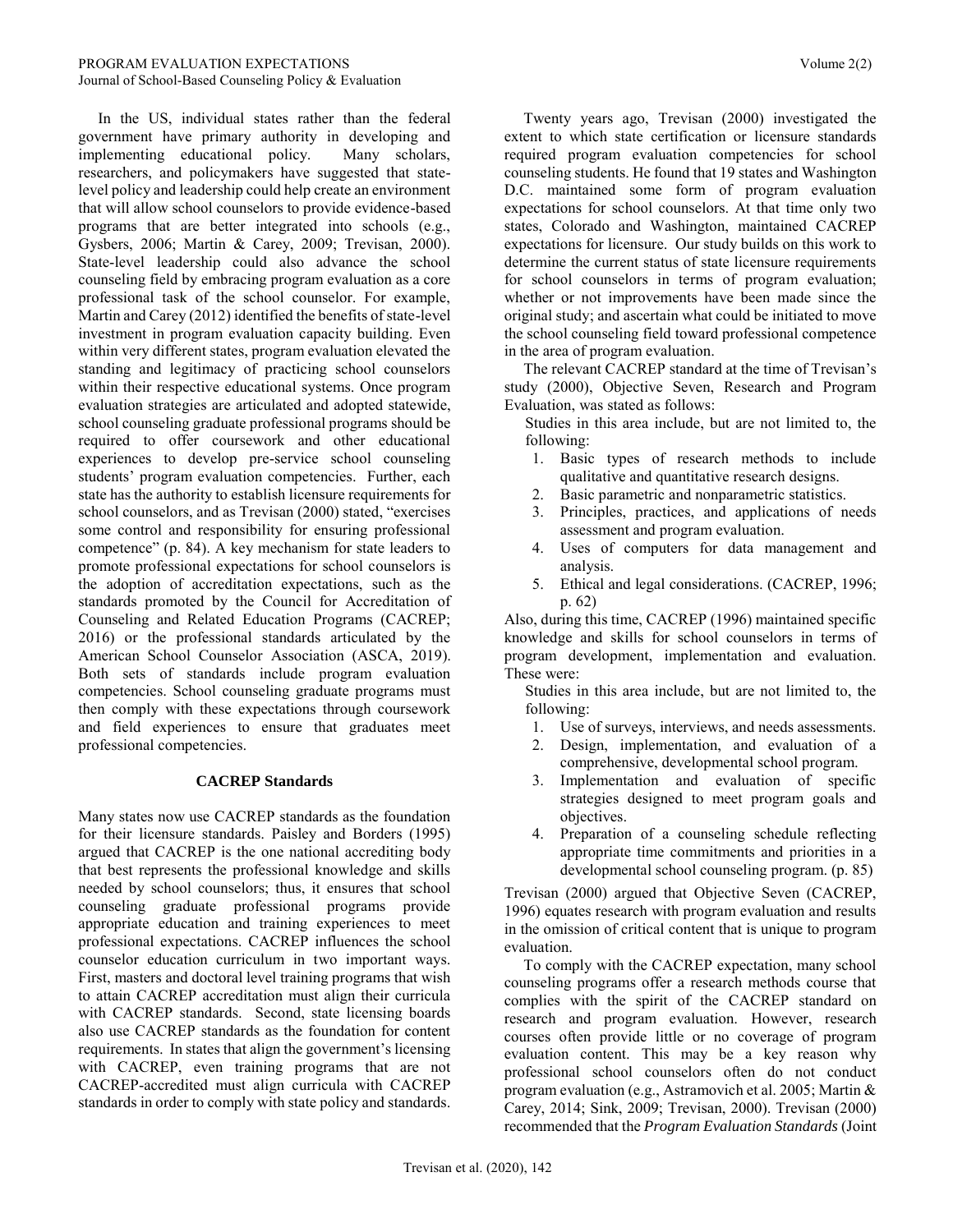In the US, individual states rather than the federal government have primary authority in developing and implementing educational policy. Many scholars, researchers, and policymakers have suggested that statelevel policy and leadership could help create an environment that will allow school counselors to provide evidence-based programs that are better integrated into schools (e.g., Gysbers, 2006; Martin & Carey, 2009; Trevisan, 2000). State-level leadership could also advance the school counseling field by embracing program evaluation as a core professional task of the school counselor. For example, Martin and Carey (2012) identified the benefits of state-level investment in program evaluation capacity building. Even within very different states, program evaluation elevated the standing and legitimacy of practicing school counselors within their respective educational systems. Once program evaluation strategies are articulated and adopted statewide, school counseling graduate professional programs should be required to offer coursework and other educational experiences to develop pre-service school counseling students' program evaluation competencies. Further, each state has the authority to establish licensure requirements for school counselors, and as Trevisan (2000) stated, "exercises some control and responsibility for ensuring professional competence" (p. 84). A key mechanism for state leaders to promote professional expectations for school counselors is the adoption of accreditation expectations, such as the standards promoted by the Council for Accreditation of Counseling and Related Education Programs (CACREP; 2016) or the professional standards articulated by the American School Counselor Association (ASCA, 2019). Both sets of standards include program evaluation competencies. School counseling graduate programs must then comply with these expectations through coursework and field experiences to ensure that graduates meet professional competencies.

#### **CACREP Standards**

Many states now use CACREP standards as the foundation for their licensure standards. Paisley and Borders (1995) argued that CACREP is the one national accrediting body that best represents the professional knowledge and skills needed by school counselors; thus, it ensures that school counseling graduate professional programs provide appropriate education and training experiences to meet professional expectations. CACREP influences the school counselor education curriculum in two important ways. First, masters and doctoral level training programs that wish to attain CACREP accreditation must align their curricula with CACREP standards. Second, state licensing boards also use CACREP standards as the foundation for content requirements. In states that align the government's licensing with CACREP, even training programs that are not CACREP-accredited must align curricula with CACREP standards in order to comply with state policy and standards.

 Twenty years ago, Trevisan (2000) investigated the extent to which state certification or licensure standards required program evaluation competencies for school counseling students. He found that 19 states and Washington D.C. maintained some form of program evaluation expectations for school counselors. At that time only two states, Colorado and Washington, maintained CACREP expectations for licensure. Our study builds on this work to determine the current status of state licensure requirements for school counselors in terms of program evaluation; whether or not improvements have been made since the original study; and ascertain what could be initiated to move the school counseling field toward professional competence in the area of program evaluation.

 The relevant CACREP standard at the time of Trevisan's study (2000), Objective Seven, Research and Program Evaluation, was stated as follows:

Studies in this area include, but are not limited to, the following:

- 1. Basic types of research methods to include qualitative and quantitative research designs.
- 2. Basic parametric and nonparametric statistics.
- 3. Principles, practices, and applications of needs assessment and program evaluation.
- 4. Uses of computers for data management and analysis.
- 5. Ethical and legal considerations. (CACREP, 1996; p. 62)

Also, during this time, CACREP (1996) maintained specific knowledge and skills for school counselors in terms of program development, implementation and evaluation. These were:

Studies in this area include, but are not limited to, the following:

- 1. Use of surveys, interviews, and needs assessments.
- 2. Design, implementation, and evaluation of a comprehensive, developmental school program.
- 3. Implementation and evaluation of specific strategies designed to meet program goals and objectives.
- 4. Preparation of a counseling schedule reflecting appropriate time commitments and priorities in a developmental school counseling program. (p. 85)

Trevisan (2000) argued that Objective Seven (CACREP, 1996) equates research with program evaluation and results in the omission of critical content that is unique to program evaluation.

 To comply with the CACREP expectation, many school counseling programs offer a research methods course that complies with the spirit of the CACREP standard on research and program evaluation. However, research courses often provide little or no coverage of program evaluation content. This may be a key reason why professional school counselors often do not conduct program evaluation (e.g., Astramovich et al. 2005; Martin & Carey, 2014; Sink, 2009; Trevisan, 2000). Trevisan (2000) recommended that the *Program Evaluation Standards* (Joint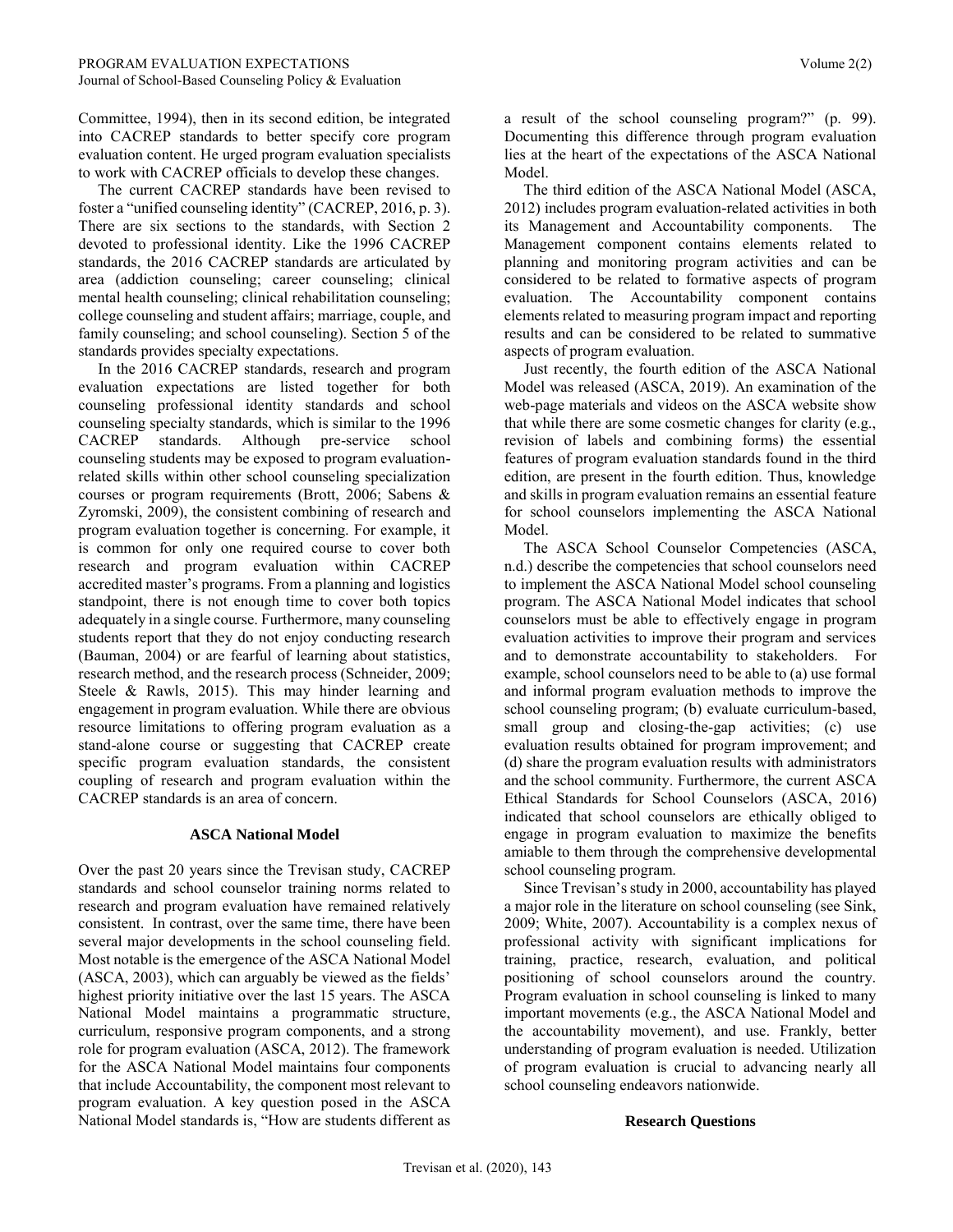Committee, 1994), then in its second edition, be integrated into CACREP standards to better specify core program evaluation content. He urged program evaluation specialists to work with CACREP officials to develop these changes.

 The current CACREP standards have been revised to foster a "unified counseling identity" (CACREP, 2016, p. 3). There are six sections to the standards, with Section 2 devoted to professional identity. Like the 1996 CACREP standards, the 2016 CACREP standards are articulated by area (addiction counseling; career counseling; clinical mental health counseling; clinical rehabilitation counseling; college counseling and student affairs; marriage, couple, and family counseling; and school counseling). Section 5 of the standards provides specialty expectations.

 In the 2016 CACREP standards, research and program evaluation expectations are listed together for both counseling professional identity standards and school counseling specialty standards, which is similar to the 1996 CACREP standards. Although pre-service school counseling students may be exposed to program evaluationrelated skills within other school counseling specialization courses or program requirements (Brott, 2006; Sabens & Zyromski, 2009), the consistent combining of research and program evaluation together is concerning. For example, it is common for only one required course to cover both research and program evaluation within CACREP accredited master's programs. From a planning and logistics standpoint, there is not enough time to cover both topics adequately in a single course. Furthermore, many counseling students report that they do not enjoy conducting research (Bauman, 2004) or are fearful of learning about statistics, research method, and the research process (Schneider, 2009; Steele & Rawls, 2015). This may hinder learning and engagement in program evaluation. While there are obvious resource limitations to offering program evaluation as a stand-alone course or suggesting that CACREP create specific program evaluation standards, the consistent coupling of research and program evaluation within the CACREP standards is an area of concern.

#### **ASCA National Model**

Over the past 20 years since the Trevisan study, CACREP standards and school counselor training norms related to research and program evaluation have remained relatively consistent. In contrast, over the same time, there have been several major developments in the school counseling field. Most notable is the emergence of the ASCA National Model (ASCA, 2003), which can arguably be viewed as the fields' highest priority initiative over the last 15 years. The ASCA National Model maintains a programmatic structure, curriculum, responsive program components, and a strong role for program evaluation (ASCA, 2012). The framework for the ASCA National Model maintains four components that include Accountability, the component most relevant to program evaluation. A key question posed in the ASCA National Model standards is, "How are students different as a result of the school counseling program?" (p. 99). Documenting this difference through program evaluation lies at the heart of the expectations of the ASCA National Model.

 The third edition of the ASCA National Model (ASCA, 2012) includes program evaluation-related activities in both its Management and Accountability components. The Management component contains elements related to planning and monitoring program activities and can be considered to be related to formative aspects of program evaluation. The Accountability component contains elements related to measuring program impact and reporting results and can be considered to be related to summative aspects of program evaluation.

 Just recently, the fourth edition of the ASCA National Model was released (ASCA, 2019). An examination of the web-page materials and videos on the ASCA website show that while there are some cosmetic changes for clarity (e.g., revision of labels and combining forms) the essential features of program evaluation standards found in the third edition, are present in the fourth edition. Thus, knowledge and skills in program evaluation remains an essential feature for school counselors implementing the ASCA National Model.

 The ASCA School Counselor Competencies (ASCA, n.d.) describe the competencies that school counselors need to implement the ASCA National Model school counseling program. The ASCA National Model indicates that school counselors must be able to effectively engage in program evaluation activities to improve their program and services and to demonstrate accountability to stakeholders. For example, school counselors need to be able to (a) use formal and informal program evaluation methods to improve the school counseling program; (b) evaluate curriculum-based, small group and closing-the-gap activities; (c) use evaluation results obtained for program improvement; and (d) share the program evaluation results with administrators and the school community. Furthermore, the current ASCA Ethical Standards for School Counselors (ASCA, 2016) indicated that school counselors are ethically obliged to engage in program evaluation to maximize the benefits amiable to them through the comprehensive developmental school counseling program.

 Since Trevisan's study in 2000, accountability has played a major role in the literature on school counseling (see Sink, 2009; White, 2007). Accountability is a complex nexus of professional activity with significant implications for training, practice, research, evaluation, and political positioning of school counselors around the country. Program evaluation in school counseling is linked to many important movements (e.g., the ASCA National Model and the accountability movement), and use. Frankly, better understanding of program evaluation is needed. Utilization of program evaluation is crucial to advancing nearly all school counseling endeavors nationwide.

#### **Research Questions**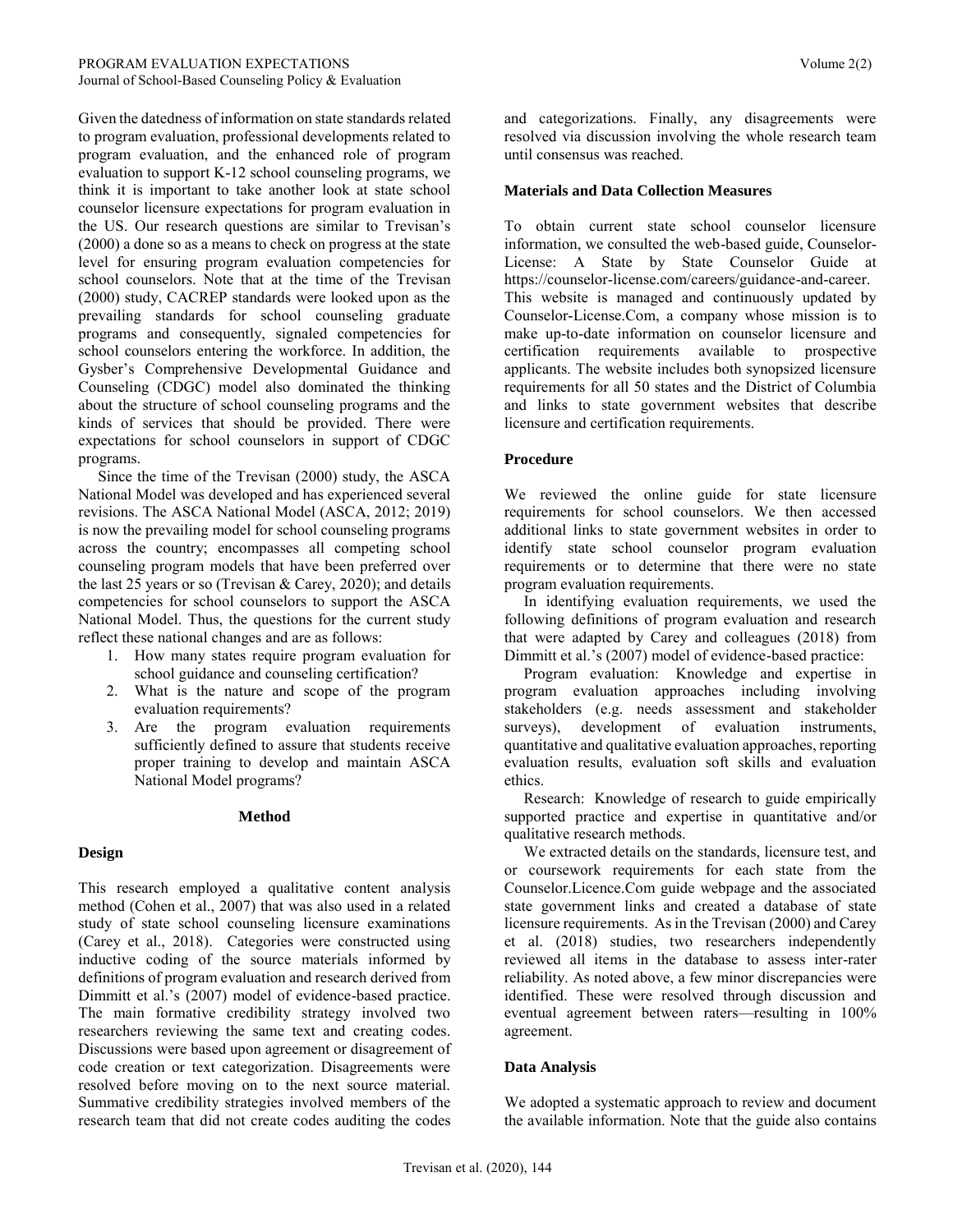Given the datedness of information on state standards related to program evaluation, professional developments related to program evaluation, and the enhanced role of program evaluation to support K-12 school counseling programs, we think it is important to take another look at state school counselor licensure expectations for program evaluation in the US. Our research questions are similar to Trevisan's (2000) a done so as a means to check on progress at the state level for ensuring program evaluation competencies for school counselors. Note that at the time of the Trevisan (2000) study, CACREP standards were looked upon as the prevailing standards for school counseling graduate programs and consequently, signaled competencies for school counselors entering the workforce. In addition, the Gysber's Comprehensive Developmental Guidance and Counseling (CDGC) model also dominated the thinking about the structure of school counseling programs and the kinds of services that should be provided. There were expectations for school counselors in support of CDGC programs.

 Since the time of the Trevisan (2000) study, the ASCA National Model was developed and has experienced several revisions. The ASCA National Model (ASCA, 2012; 2019) is now the prevailing model for school counseling programs across the country; encompasses all competing school counseling program models that have been preferred over the last 25 years or so (Trevisan & Carey, 2020); and details competencies for school counselors to support the ASCA National Model. Thus, the questions for the current study reflect these national changes and are as follows:

- 1. How many states require program evaluation for school guidance and counseling certification?
- 2. What is the nature and scope of the program evaluation requirements?
- 3. Are the program evaluation requirements sufficiently defined to assure that students receive proper training to develop and maintain ASCA National Model programs?

#### **Method**

# **Design**

This research employed a qualitative content analysis method (Cohen et al., 2007) that was also used in a related study of state school counseling licensure examinations (Carey et al., 2018). Categories were constructed using inductive coding of the source materials informed by definitions of program evaluation and research derived from Dimmitt et al.'s (2007) model of evidence-based practice. The main formative credibility strategy involved two researchers reviewing the same text and creating codes. Discussions were based upon agreement or disagreement of code creation or text categorization. Disagreements were resolved before moving on to the next source material. Summative credibility strategies involved members of the research team that did not create codes auditing the codes

and categorizations. Finally, any disagreements were resolved via discussion involving the whole research team until consensus was reached.

#### **Materials and Data Collection Measures**

To obtain current state school counselor licensure information, we consulted the web-based guide, Counselor-License: A State by State Counselor Guide at https://counselor-license.com/careers/guidance-and-career. This website is managed and continuously updated by Counselor-License.Com, a company whose mission is to make up-to-date information on counselor licensure and certification requirements available to prospective applicants. The website includes both synopsized licensure requirements for all 50 states and the District of Columbia and links to state government websites that describe licensure and certification requirements.

#### **Procedure**

We reviewed the online guide for state licensure requirements for school counselors. We then accessed additional links to state government websites in order to identify state school counselor program evaluation requirements or to determine that there were no state program evaluation requirements.

 In identifying evaluation requirements, we used the following definitions of program evaluation and research that were adapted by Carey and colleagues (2018) from Dimmitt et al.'s (2007) model of evidence-based practice:

 Program evaluation: Knowledge and expertise in program evaluation approaches including involving stakeholders (e.g. needs assessment and stakeholder surveys), development of evaluation instruments, quantitative and qualitative evaluation approaches, reporting evaluation results, evaluation soft skills and evaluation ethics.

 Research: Knowledge of research to guide empirically supported practice and expertise in quantitative and/or qualitative research methods.

 We extracted details on the standards, licensure test, and or coursework requirements for each state from the Counselor.Licence.Com guide webpage and the associated state government links and created a database of state licensure requirements. As in the Trevisan (2000) and Carey et al. (2018) studies, two researchers independently reviewed all items in the database to assess inter-rater reliability. As noted above, a few minor discrepancies were identified. These were resolved through discussion and eventual agreement between raters—resulting in 100% agreement.

# **Data Analysis**

We adopted a systematic approach to review and document the available information. Note that the guide also contains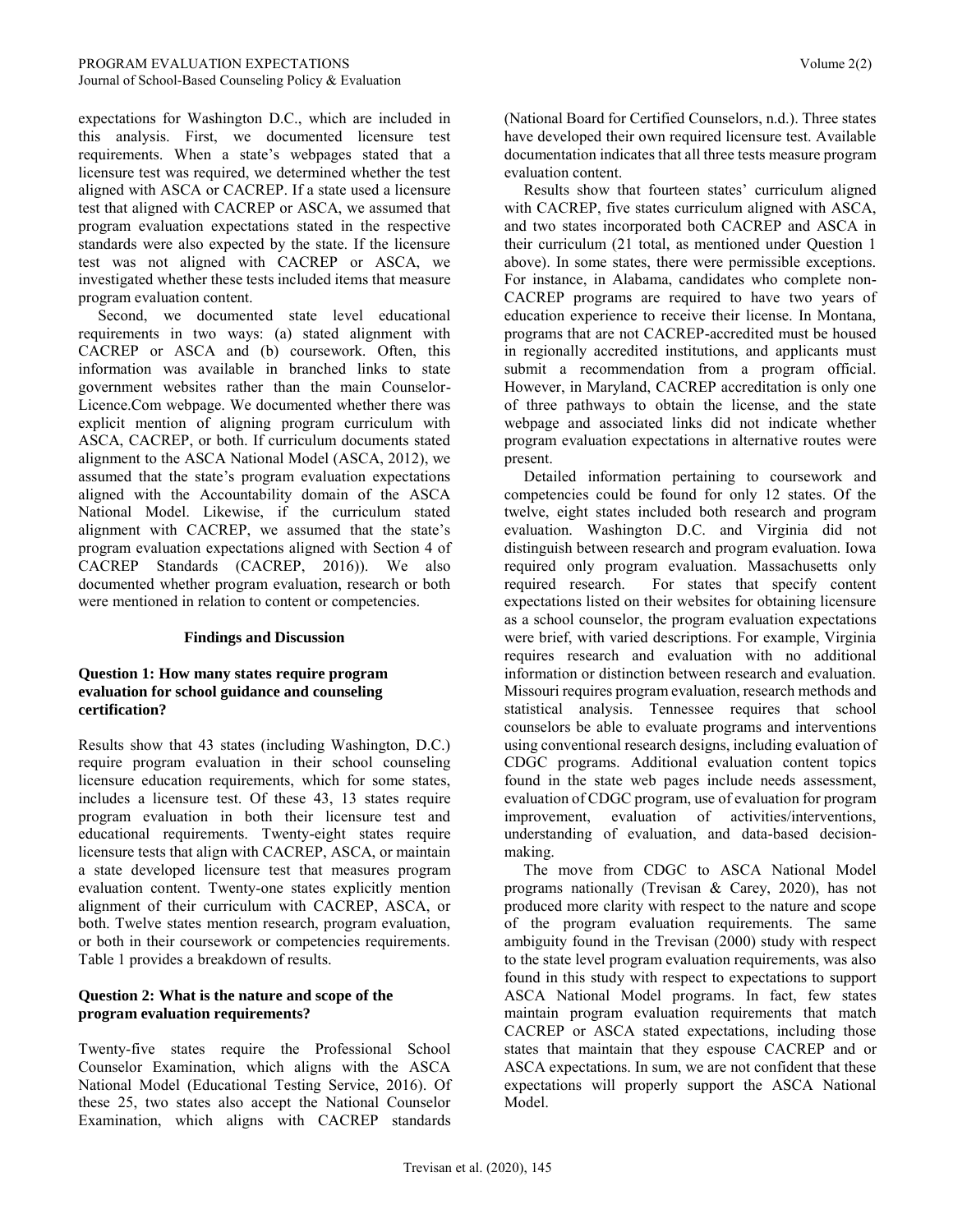expectations for Washington D.C., which are included in this analysis. First, we documented licensure test requirements. When a state's webpages stated that a licensure test was required, we determined whether the test aligned with ASCA or CACREP. If a state used a licensure test that aligned with CACREP or ASCA, we assumed that program evaluation expectations stated in the respective standards were also expected by the state. If the licensure test was not aligned with CACREP or ASCA, we investigated whether these tests included items that measure program evaluation content.

 Second, we documented state level educational requirements in two ways: (a) stated alignment with CACREP or ASCA and (b) coursework. Often, this information was available in branched links to state government websites rather than the main Counselor-Licence.Com webpage. We documented whether there was explicit mention of aligning program curriculum with ASCA, CACREP, or both. If curriculum documents stated alignment to the ASCA National Model (ASCA, 2012), we assumed that the state's program evaluation expectations aligned with the Accountability domain of the ASCA National Model. Likewise, if the curriculum stated alignment with CACREP, we assumed that the state's program evaluation expectations aligned with Section 4 of CACREP Standards (CACREP, 2016)). We also documented whether program evaluation, research or both were mentioned in relation to content or competencies.

# **Findings and Discussion**

# **Question 1: How many states require program evaluation for school guidance and counseling certification?**

Results show that 43 states (including Washington, D.C.) require program evaluation in their school counseling licensure education requirements, which for some states, includes a licensure test. Of these 43, 13 states require program evaluation in both their licensure test and educational requirements. Twenty-eight states require licensure tests that align with CACREP, ASCA, or maintain a state developed licensure test that measures program evaluation content. Twenty-one states explicitly mention alignment of their curriculum with CACREP, ASCA, or both. Twelve states mention research, program evaluation, or both in their coursework or competencies requirements. Table 1 provides a breakdown of results.

# **Question 2: What is the nature and scope of the program evaluation requirements?**

Twenty-five states require the Professional School Counselor Examination, which aligns with the ASCA National Model (Educational Testing Service, 2016). Of these 25, two states also accept the National Counselor Examination, which aligns with CACREP standards (National Board for Certified Counselors, n.d.). Three states have developed their own required licensure test. Available documentation indicates that all three tests measure program evaluation content.

 Results show that fourteen states' curriculum aligned with CACREP, five states curriculum aligned with ASCA, and two states incorporated both CACREP and ASCA in their curriculum (21 total, as mentioned under Question 1 above). In some states, there were permissible exceptions. For instance, in Alabama, candidates who complete non-CACREP programs are required to have two years of education experience to receive their license. In Montana, programs that are not CACREP-accredited must be housed in regionally accredited institutions, and applicants must submit a recommendation from a program official. However, in Maryland, CACREP accreditation is only one of three pathways to obtain the license, and the state webpage and associated links did not indicate whether program evaluation expectations in alternative routes were present.

 Detailed information pertaining to coursework and competencies could be found for only 12 states. Of the twelve, eight states included both research and program evaluation. Washington D.C. and Virginia did not distinguish between research and program evaluation. Iowa required only program evaluation. Massachusetts only required research. For states that specify content expectations listed on their websites for obtaining licensure as a school counselor, the program evaluation expectations were brief, with varied descriptions. For example, Virginia requires research and evaluation with no additional information or distinction between research and evaluation. Missouri requires program evaluation, research methods and statistical analysis. Tennessee requires that school counselors be able to evaluate programs and interventions using conventional research designs, including evaluation of CDGC programs. Additional evaluation content topics found in the state web pages include needs assessment, evaluation of CDGC program, use of evaluation for program improvement, evaluation of activities/interventions, understanding of evaluation, and data-based decisionmaking.

 The move from CDGC to ASCA National Model programs nationally (Trevisan & Carey, 2020), has not produced more clarity with respect to the nature and scope of the program evaluation requirements. The same ambiguity found in the Trevisan (2000) study with respect to the state level program evaluation requirements, was also found in this study with respect to expectations to support ASCA National Model programs. In fact, few states maintain program evaluation requirements that match CACREP or ASCA stated expectations, including those states that maintain that they espouse CACREP and or ASCA expectations. In sum, we are not confident that these expectations will properly support the ASCA National Model.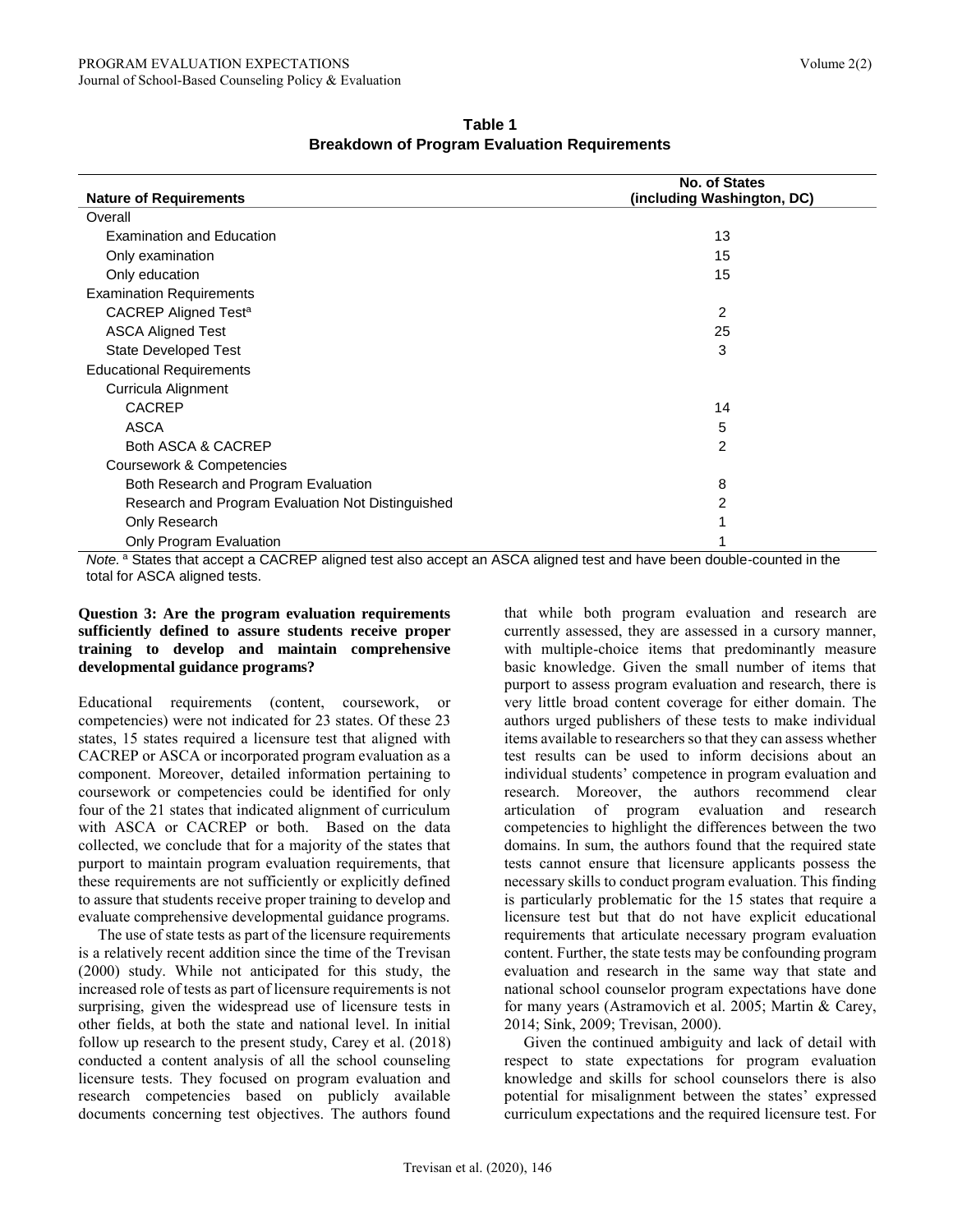|                                                   | <b>No. of States</b>       |
|---------------------------------------------------|----------------------------|
| <b>Nature of Requirements</b>                     | (including Washington, DC) |
| Overall                                           |                            |
| <b>Examination and Education</b>                  | 13                         |
| Only examination                                  | 15                         |
| Only education                                    | 15                         |
| <b>Examination Requirements</b>                   |                            |
| CACREP Aligned Test <sup>a</sup>                  | 2                          |
| <b>ASCA Aligned Test</b>                          | 25                         |
| <b>State Developed Test</b>                       | 3                          |
| <b>Educational Requirements</b>                   |                            |
| Curricula Alignment                               |                            |
| <b>CACREP</b>                                     | 14                         |
| <b>ASCA</b>                                       | 5                          |
| Both ASCA & CACREP                                | 2                          |
| Coursework & Competencies                         |                            |
| Both Research and Program Evaluation              | 8                          |
| Research and Program Evaluation Not Distinguished | 2                          |
| Only Research                                     |                            |
| Only Program Evaluation                           |                            |

**Table 1 Breakdown of Program Evaluation Requirements**

Note.<sup>a</sup> States that accept a CACREP aligned test also accept an ASCA aligned test and have been double-counted in the total for ASCA aligned tests.

#### **Question 3: Are the program evaluation requirements sufficiently defined to assure students receive proper training to develop and maintain comprehensive developmental guidance programs?**

Educational requirements (content, coursework, or competencies) were not indicated for 23 states. Of these 23 states, 15 states required a licensure test that aligned with CACREP or ASCA or incorporated program evaluation as a component. Moreover, detailed information pertaining to coursework or competencies could be identified for only four of the 21 states that indicated alignment of curriculum with ASCA or CACREP or both. Based on the data collected, we conclude that for a majority of the states that purport to maintain program evaluation requirements, that these requirements are not sufficiently or explicitly defined to assure that students receive proper training to develop and evaluate comprehensive developmental guidance programs.

 The use of state tests as part of the licensure requirements is a relatively recent addition since the time of the Trevisan (2000) study. While not anticipated for this study, the increased role of tests as part of licensure requirements is not surprising, given the widespread use of licensure tests in other fields, at both the state and national level. In initial follow up research to the present study, Carey et al. (2018) conducted a content analysis of all the school counseling licensure tests. They focused on program evaluation and research competencies based on publicly available documents concerning test objectives. The authors found that while both program evaluation and research are currently assessed, they are assessed in a cursory manner, with multiple-choice items that predominantly measure basic knowledge. Given the small number of items that purport to assess program evaluation and research, there is very little broad content coverage for either domain. The authors urged publishers of these tests to make individual items available to researchers so that they can assess whether test results can be used to inform decisions about an individual students' competence in program evaluation and research. Moreover, the authors recommend clear articulation of program evaluation and research competencies to highlight the differences between the two domains. In sum, the authors found that the required state tests cannot ensure that licensure applicants possess the necessary skills to conduct program evaluation. This finding is particularly problematic for the 15 states that require a licensure test but that do not have explicit educational requirements that articulate necessary program evaluation content. Further, the state tests may be confounding program evaluation and research in the same way that state and national school counselor program expectations have done for many years (Astramovich et al. 2005; Martin & Carey, 2014; Sink, 2009; Trevisan, 2000).

 Given the continued ambiguity and lack of detail with respect to state expectations for program evaluation knowledge and skills for school counselors there is also potential for misalignment between the states' expressed curriculum expectations and the required licensure test. For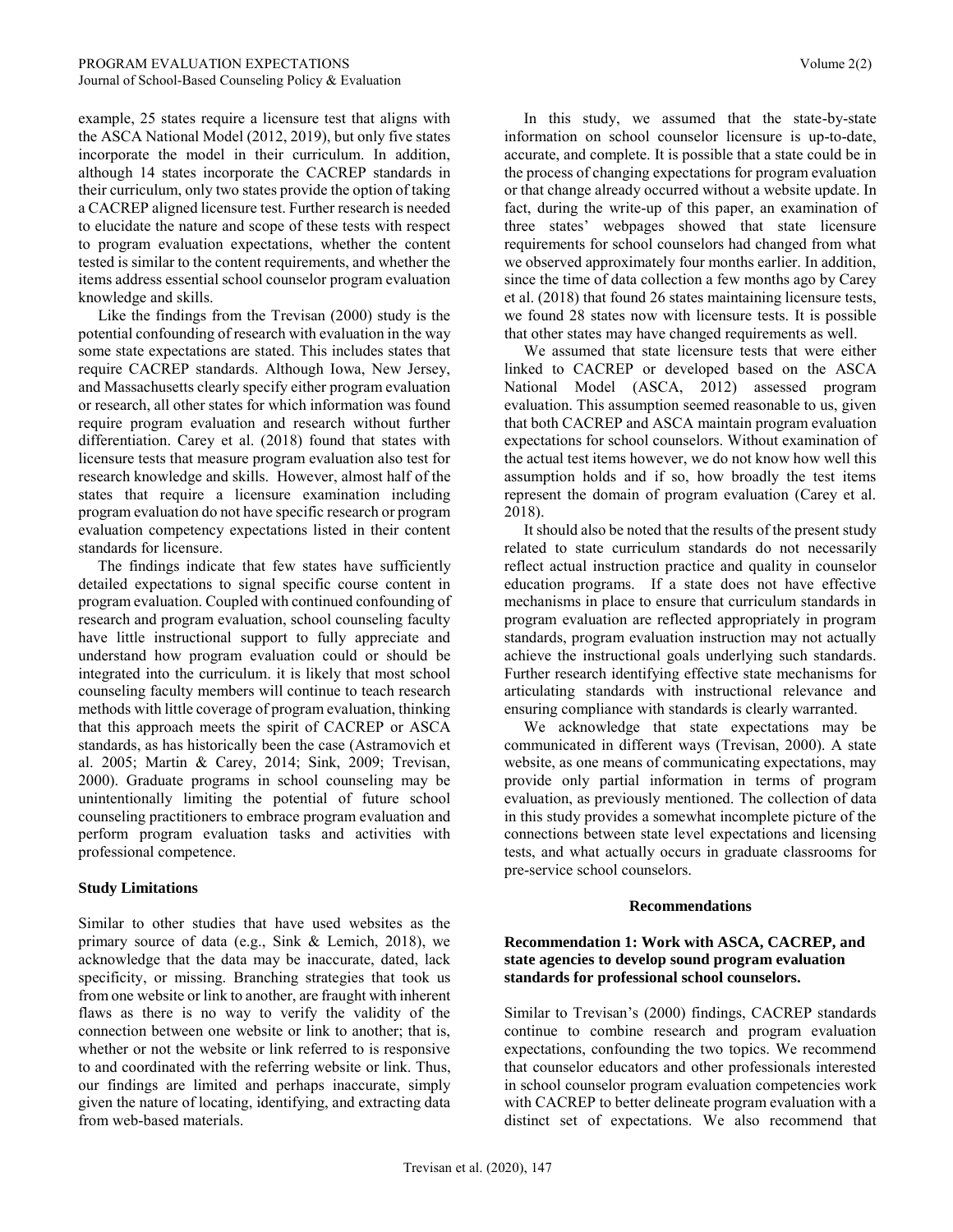example, 25 states require a licensure test that aligns with the ASCA National Model (2012, 2019), but only five states incorporate the model in their curriculum. In addition, although 14 states incorporate the CACREP standards in their curriculum, only two states provide the option of taking a CACREP aligned licensure test. Further research is needed to elucidate the nature and scope of these tests with respect to program evaluation expectations, whether the content tested is similar to the content requirements, and whether the items address essential school counselor program evaluation knowledge and skills.

 Like the findings from the Trevisan (2000) study is the potential confounding of research with evaluation in the way some state expectations are stated. This includes states that require CACREP standards. Although Iowa, New Jersey, and Massachusetts clearly specify either program evaluation or research, all other states for which information was found require program evaluation and research without further differentiation. Carey et al. (2018) found that states with licensure tests that measure program evaluation also test for research knowledge and skills. However, almost half of the states that require a licensure examination including program evaluation do not have specific research or program evaluation competency expectations listed in their content standards for licensure.

 The findings indicate that few states have sufficiently detailed expectations to signal specific course content in program evaluation. Coupled with continued confounding of research and program evaluation, school counseling faculty have little instructional support to fully appreciate and understand how program evaluation could or should be integrated into the curriculum. it is likely that most school counseling faculty members will continue to teach research methods with little coverage of program evaluation, thinking that this approach meets the spirit of CACREP or ASCA standards, as has historically been the case (Astramovich et al. 2005; Martin & Carey, 2014; Sink, 2009; Trevisan, 2000). Graduate programs in school counseling may be unintentionally limiting the potential of future school counseling practitioners to embrace program evaluation and perform program evaluation tasks and activities with professional competence.

# **Study Limitations**

Similar to other studies that have used websites as the primary source of data (e.g., Sink & Lemich, 2018), we acknowledge that the data may be inaccurate, dated, lack specificity, or missing. Branching strategies that took us from one website or link to another, are fraught with inherent flaws as there is no way to verify the validity of the connection between one website or link to another; that is, whether or not the website or link referred to is responsive to and coordinated with the referring website or link. Thus, our findings are limited and perhaps inaccurate, simply given the nature of locating, identifying, and extracting data from web-based materials.

 In this study, we assumed that the state-by-state information on school counselor licensure is up-to-date, accurate, and complete. It is possible that a state could be in the process of changing expectations for program evaluation or that change already occurred without a website update. In fact, during the write-up of this paper, an examination of three states' webpages showed that state licensure requirements for school counselors had changed from what we observed approximately four months earlier. In addition, since the time of data collection a few months ago by Carey et al. (2018) that found 26 states maintaining licensure tests, we found 28 states now with licensure tests. It is possible that other states may have changed requirements as well.

 We assumed that state licensure tests that were either linked to CACREP or developed based on the ASCA National Model (ASCA, 2012) assessed program evaluation. This assumption seemed reasonable to us, given that both CACREP and ASCA maintain program evaluation expectations for school counselors. Without examination of the actual test items however, we do not know how well this assumption holds and if so, how broadly the test items represent the domain of program evaluation (Carey et al. 2018).

 It should also be noted that the results of the present study related to state curriculum standards do not necessarily reflect actual instruction practice and quality in counselor education programs. If a state does not have effective mechanisms in place to ensure that curriculum standards in program evaluation are reflected appropriately in program standards, program evaluation instruction may not actually achieve the instructional goals underlying such standards. Further research identifying effective state mechanisms for articulating standards with instructional relevance and ensuring compliance with standards is clearly warranted.

 We acknowledge that state expectations may be communicated in different ways (Trevisan, 2000). A state website, as one means of communicating expectations, may provide only partial information in terms of program evaluation, as previously mentioned. The collection of data in this study provides a somewhat incomplete picture of the connections between state level expectations and licensing tests, and what actually occurs in graduate classrooms for pre-service school counselors.

#### **Recommendations**

#### **Recommendation 1: Work with ASCA, CACREP, and state agencies to develop sound program evaluation standards for professional school counselors.**

Similar to Trevisan's (2000) findings, CACREP standards continue to combine research and program evaluation expectations, confounding the two topics. We recommend that counselor educators and other professionals interested in school counselor program evaluation competencies work with CACREP to better delineate program evaluation with a distinct set of expectations. We also recommend that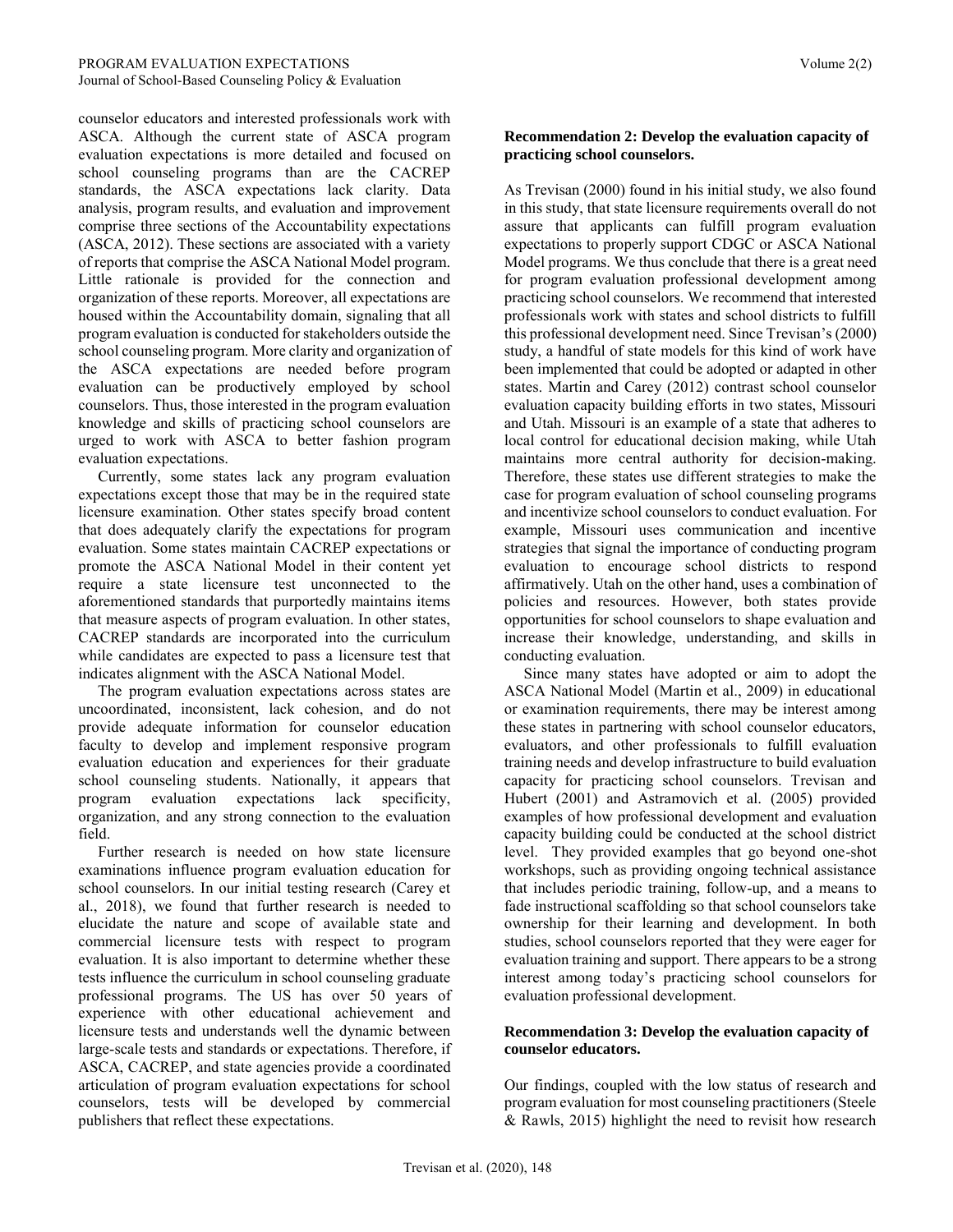counselor educators and interested professionals work with ASCA. Although the current state of ASCA program evaluation expectations is more detailed and focused on school counseling programs than are the CACREP standards, the ASCA expectations lack clarity. Data analysis, program results, and evaluation and improvement comprise three sections of the Accountability expectations (ASCA, 2012). These sections are associated with a variety of reports that comprise the ASCA National Model program. Little rationale is provided for the connection and organization of these reports. Moreover, all expectations are housed within the Accountability domain, signaling that all program evaluation is conducted for stakeholders outside the school counseling program. More clarity and organization of the ASCA expectations are needed before program evaluation can be productively employed by school counselors. Thus, those interested in the program evaluation knowledge and skills of practicing school counselors are urged to work with ASCA to better fashion program evaluation expectations.

 Currently, some states lack any program evaluation expectations except those that may be in the required state licensure examination. Other states specify broad content that does adequately clarify the expectations for program evaluation. Some states maintain CACREP expectations or promote the ASCA National Model in their content yet require a state licensure test unconnected to the aforementioned standards that purportedly maintains items that measure aspects of program evaluation. In other states, CACREP standards are incorporated into the curriculum while candidates are expected to pass a licensure test that indicates alignment with the ASCA National Model.

 The program evaluation expectations across states are uncoordinated, inconsistent, lack cohesion, and do not provide adequate information for counselor education faculty to develop and implement responsive program evaluation education and experiences for their graduate school counseling students. Nationally, it appears that program evaluation expectations lack specificity, organization, and any strong connection to the evaluation field.

 Further research is needed on how state licensure examinations influence program evaluation education for school counselors. In our initial testing research (Carey et al., 2018), we found that further research is needed to elucidate the nature and scope of available state and commercial licensure tests with respect to program evaluation. It is also important to determine whether these tests influence the curriculum in school counseling graduate professional programs. The US has over 50 years of experience with other educational achievement and licensure tests and understands well the dynamic between large-scale tests and standards or expectations. Therefore, if ASCA, CACREP, and state agencies provide a coordinated articulation of program evaluation expectations for school counselors, tests will be developed by commercial publishers that reflect these expectations.

# **Recommendation 2: Develop the evaluation capacity of practicing school counselors.**

As Trevisan (2000) found in his initial study, we also found in this study, that state licensure requirements overall do not assure that applicants can fulfill program evaluation expectations to properly support CDGC or ASCA National Model programs. We thus conclude that there is a great need for program evaluation professional development among practicing school counselors. We recommend that interested professionals work with states and school districts to fulfill this professional development need. Since Trevisan's (2000) study, a handful of state models for this kind of work have been implemented that could be adopted or adapted in other states. Martin and Carey (2012) contrast school counselor evaluation capacity building efforts in two states, Missouri and Utah. Missouri is an example of a state that adheres to local control for educational decision making, while Utah maintains more central authority for decision-making. Therefore, these states use different strategies to make the case for program evaluation of school counseling programs and incentivize school counselors to conduct evaluation. For example, Missouri uses communication and incentive strategies that signal the importance of conducting program evaluation to encourage school districts to respond affirmatively. Utah on the other hand, uses a combination of policies and resources. However, both states provide opportunities for school counselors to shape evaluation and increase their knowledge, understanding, and skills in conducting evaluation.

 Since many states have adopted or aim to adopt the ASCA National Model (Martin et al., 2009) in educational or examination requirements, there may be interest among these states in partnering with school counselor educators, evaluators, and other professionals to fulfill evaluation training needs and develop infrastructure to build evaluation capacity for practicing school counselors. Trevisan and Hubert (2001) and Astramovich et al. (2005) provided examples of how professional development and evaluation capacity building could be conducted at the school district level. They provided examples that go beyond one-shot workshops, such as providing ongoing technical assistance that includes periodic training, follow-up, and a means to fade instructional scaffolding so that school counselors take ownership for their learning and development. In both studies, school counselors reported that they were eager for evaluation training and support. There appears to be a strong interest among today's practicing school counselors for evaluation professional development.

# **Recommendation 3: Develop the evaluation capacity of counselor educators.**

Our findings, coupled with the low status of research and program evaluation for most counseling practitioners (Steele & Rawls, 2015) highlight the need to revisit how research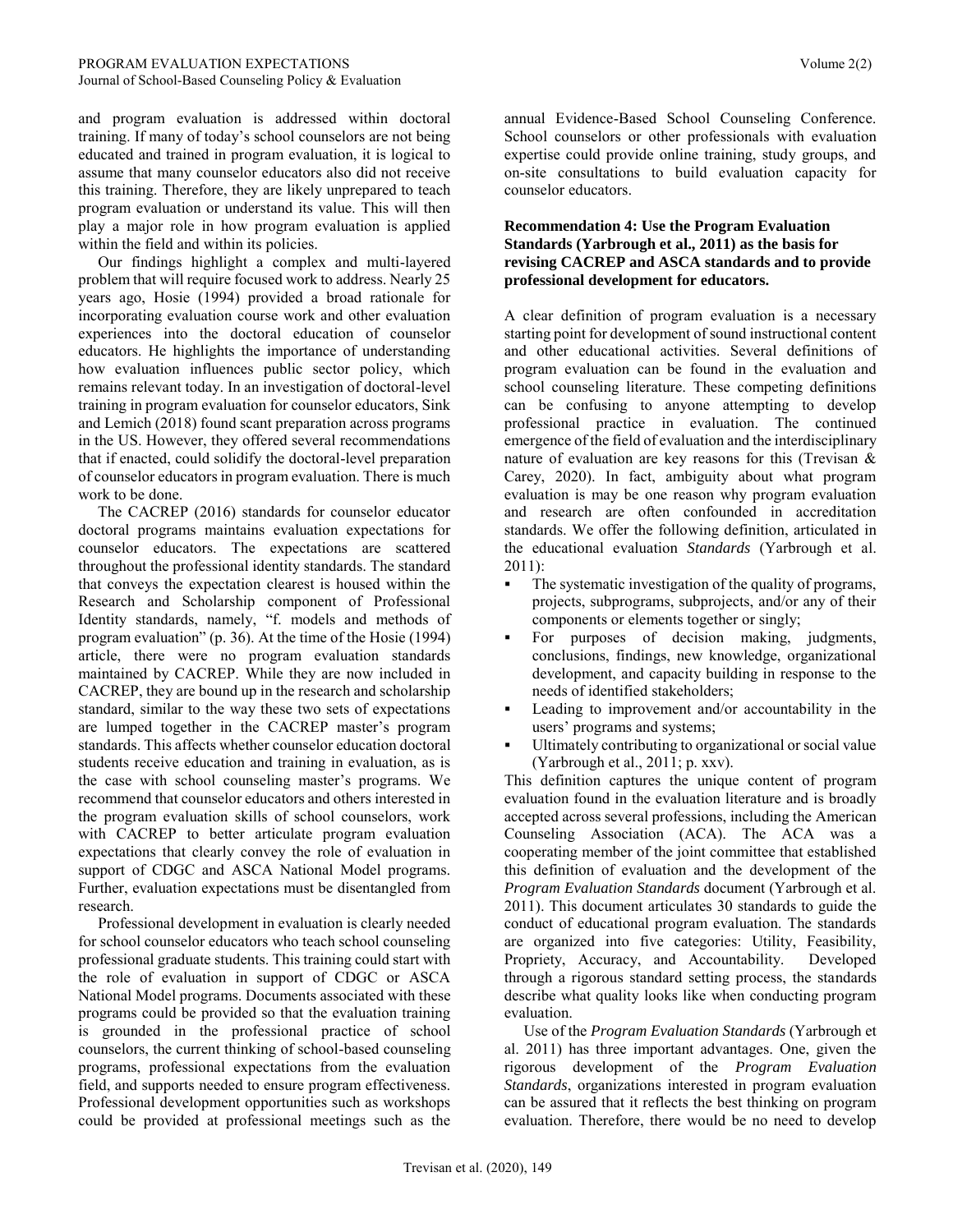and program evaluation is addressed within doctoral training. If many of today's school counselors are not being educated and trained in program evaluation, it is logical to assume that many counselor educators also did not receive this training. Therefore, they are likely unprepared to teach program evaluation or understand its value. This will then play a major role in how program evaluation is applied within the field and within its policies.

 Our findings highlight a complex and multi-layered problem that will require focused work to address. Nearly 25 years ago, Hosie (1994) provided a broad rationale for incorporating evaluation course work and other evaluation experiences into the doctoral education of counselor educators. He highlights the importance of understanding how evaluation influences public sector policy, which remains relevant today. In an investigation of doctoral-level training in program evaluation for counselor educators, Sink and Lemich (2018) found scant preparation across programs in the US. However, they offered several recommendations that if enacted, could solidify the doctoral-level preparation of counselor educators in program evaluation. There is much work to be done.

 The CACREP (2016) standards for counselor educator doctoral programs maintains evaluation expectations for counselor educators. The expectations are scattered throughout the professional identity standards. The standard that conveys the expectation clearest is housed within the Research and Scholarship component of Professional Identity standards, namely, "f. models and methods of program evaluation" (p. 36). At the time of the Hosie (1994) article, there were no program evaluation standards maintained by CACREP. While they are now included in CACREP, they are bound up in the research and scholarship standard, similar to the way these two sets of expectations are lumped together in the CACREP master's program standards. This affects whether counselor education doctoral students receive education and training in evaluation, as is the case with school counseling master's programs. We recommend that counselor educators and others interested in the program evaluation skills of school counselors, work with CACREP to better articulate program evaluation expectations that clearly convey the role of evaluation in support of CDGC and ASCA National Model programs. Further, evaluation expectations must be disentangled from research.

 Professional development in evaluation is clearly needed for school counselor educators who teach school counseling professional graduate students. This training could start with the role of evaluation in support of CDGC or ASCA National Model programs. Documents associated with these programs could be provided so that the evaluation training is grounded in the professional practice of school counselors, the current thinking of school-based counseling programs, professional expectations from the evaluation field, and supports needed to ensure program effectiveness. Professional development opportunities such as workshops could be provided at professional meetings such as the

annual Evidence-Based School Counseling Conference. School counselors or other professionals with evaluation expertise could provide online training, study groups, and on-site consultations to build evaluation capacity for counselor educators.

# **Recommendation 4: Use the Program Evaluation Standards (Yarbrough et al., 2011) as the basis for revising CACREP and ASCA standards and to provide professional development for educators.**

A clear definition of program evaluation is a necessary starting point for development of sound instructional content and other educational activities. Several definitions of program evaluation can be found in the evaluation and school counseling literature. These competing definitions can be confusing to anyone attempting to develop professional practice in evaluation. The continued emergence of the field of evaluation and the interdisciplinary nature of evaluation are key reasons for this (Trevisan  $\&$ Carey, 2020). In fact, ambiguity about what program evaluation is may be one reason why program evaluation and research are often confounded in accreditation standards. We offer the following definition, articulated in the educational evaluation *Standards* (Yarbrough et al. 2011):

- The systematic investigation of the quality of programs, projects, subprograms, subprojects, and/or any of their components or elements together or singly;
- For purposes of decision making, judgments, conclusions, findings, new knowledge, organizational development, and capacity building in response to the needs of identified stakeholders;
- Leading to improvement and/or accountability in the users' programs and systems;
- Ultimately contributing to organizational or social value (Yarbrough et al., 2011; p. xxv).

This definition captures the unique content of program evaluation found in the evaluation literature and is broadly accepted across several professions, including the American Counseling Association (ACA). The ACA was a cooperating member of the joint committee that established this definition of evaluation and the development of the *Program Evaluation Standards* document (Yarbrough et al. 2011). This document articulates 30 standards to guide the conduct of educational program evaluation. The standards are organized into five categories: Utility, Feasibility, Propriety, Accuracy, and Accountability. Developed through a rigorous standard setting process, the standards describe what quality looks like when conducting program evaluation.

 Use of the *Program Evaluation Standards* (Yarbrough et al. 2011) has three important advantages. One, given the rigorous development of the *Program Evaluation Standards*, organizations interested in program evaluation can be assured that it reflects the best thinking on program evaluation. Therefore, there would be no need to develop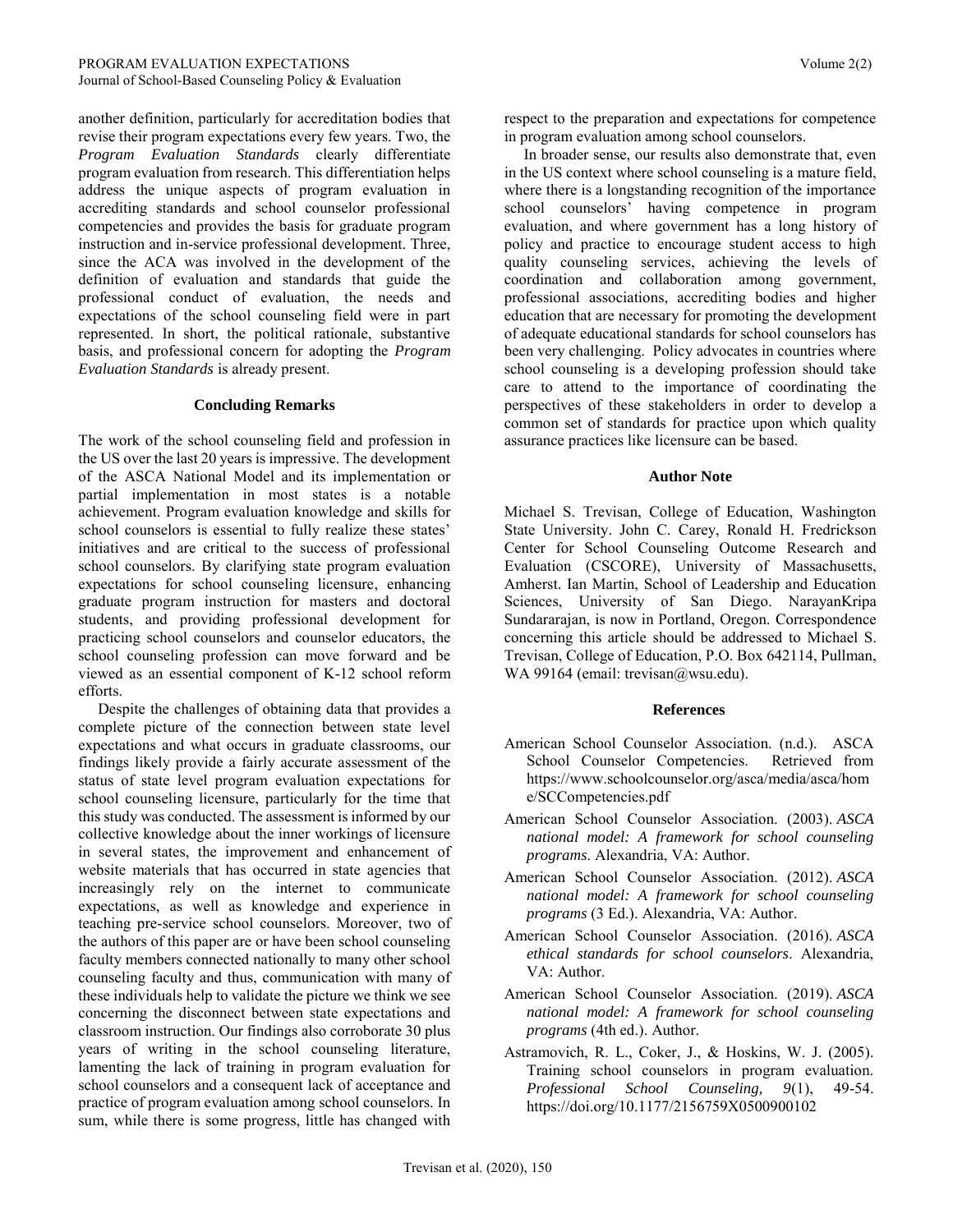another definition, particularly for accreditation bodies that revise their program expectations every few years. Two, the *Program Evaluation Standards* clearly differentiate program evaluation from research. This differentiation helps address the unique aspects of program evaluation in accrediting standards and school counselor professional competencies and provides the basis for graduate program instruction and in-service professional development. Three, since the ACA was involved in the development of the definition of evaluation and standards that guide the professional conduct of evaluation, the needs and expectations of the school counseling field were in part represented. In short, the political rationale, substantive basis, and professional concern for adopting the *Program Evaluation Standards* is already present.

#### **Concluding Remarks**

The work of the school counseling field and profession in the US over the last 20 years is impressive. The development of the ASCA National Model and its implementation or partial implementation in most states is a notable achievement. Program evaluation knowledge and skills for school counselors is essential to fully realize these states' initiatives and are critical to the success of professional school counselors. By clarifying state program evaluation expectations for school counseling licensure, enhancing graduate program instruction for masters and doctoral students, and providing professional development for practicing school counselors and counselor educators, the school counseling profession can move forward and be viewed as an essential component of K-12 school reform efforts.

 Despite the challenges of obtaining data that provides a complete picture of the connection between state level expectations and what occurs in graduate classrooms, our findings likely provide a fairly accurate assessment of the status of state level program evaluation expectations for school counseling licensure, particularly for the time that this study was conducted. The assessment is informed by our collective knowledge about the inner workings of licensure in several states, the improvement and enhancement of website materials that has occurred in state agencies that increasingly rely on the internet to communicate expectations, as well as knowledge and experience in teaching pre-service school counselors. Moreover, two of the authors of this paper are or have been school counseling faculty members connected nationally to many other school counseling faculty and thus, communication with many of these individuals help to validate the picture we think we see concerning the disconnect between state expectations and classroom instruction. Our findings also corroborate 30 plus years of writing in the school counseling literature, lamenting the lack of training in program evaluation for school counselors and a consequent lack of acceptance and practice of program evaluation among school counselors. In sum, while there is some progress, little has changed with

respect to the preparation and expectations for competence in program evaluation among school counselors.

 In broader sense, our results also demonstrate that, even in the US context where school counseling is a mature field, where there is a longstanding recognition of the importance school counselors' having competence in program evaluation, and where government has a long history of policy and practice to encourage student access to high quality counseling services, achieving the levels of coordination and collaboration among government, professional associations, accrediting bodies and higher education that are necessary for promoting the development of adequate educational standards for school counselors has been very challenging. Policy advocates in countries where school counseling is a developing profession should take care to attend to the importance of coordinating the perspectives of these stakeholders in order to develop a common set of standards for practice upon which quality assurance practices like licensure can be based.

#### **Author Note**

Michael S. Trevisan, College of Education, Washington State University. John C. Carey, Ronald H. Fredrickson Center for School Counseling Outcome Research and Evaluation (CSCORE), University of Massachusetts, Amherst. Ian Martin, School of Leadership and Education Sciences, University of San Diego. NarayanKripa Sundararajan, is now in Portland, Oregon. Correspondence concerning this article should be addressed to Michael S. Trevisan, College of Education, P.O. Box 642114, Pullman, WA 99164 (email: trevisan@wsu.edu).

#### **References**

- American School Counselor Association. (n.d.). ASCA School Counselor Competencies. Retrieved from [https://www.schoolcounselor.org/asca/media/asca/hom](https://www.schoolcounselor.org/asca/media/asca/home/SCCompetencies.pdf) [e/SCCompetencies.pdf](https://www.schoolcounselor.org/asca/media/asca/home/SCCompetencies.pdf)
- American School Counselor Association. (2003). *ASCA national model: A framework for school counseling programs*. Alexandria, VA: Author.
- American School Counselor Association. (2012). *ASCA national model: A framework for school counseling programs* (3 Ed.). Alexandria, VA: Author.
- American School Counselor Association. (2016). *ASCA ethical standards for school counselors*. Alexandria, VA: Author.
- American School Counselor Association. (2019). *ASCA national model: A framework for school counseling programs* (4th ed.). Author.
- Astramovich, R. L., Coker, J., & Hoskins, W. J. (2005). Training school counselors in program evaluation. *Professional School Counseling, 9*(1), 49-54. <https://doi.org/10.1177/2156759X0500900102>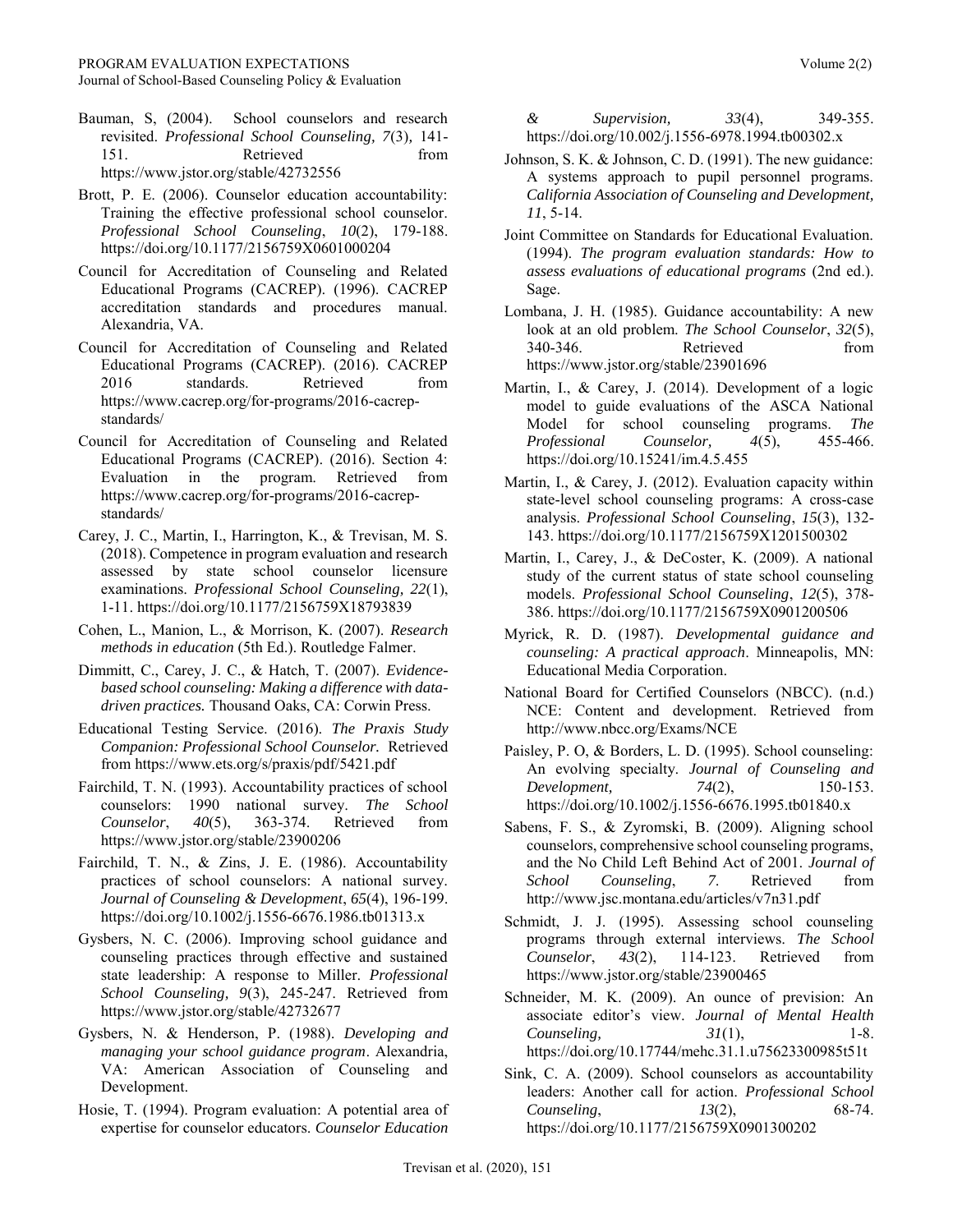Journal of School-Based Counseling Policy & Evaluation

- Bauman, S, (2004). School counselors and research revisited. *Professional School Counseling, 7*(3)*,* 141- 151. Retrieved from <https://www.jstor.org/stable/42732556>
- Brott, P. E. (2006). Counselor education accountability: Training the effective professional school counselor. *Professional School Counseling*, *10*(2), 179-188. <https://doi.org/10.1177/2156759X0601000204>
- Council for Accreditation of Counseling and Related Educational Programs (CACREP). (1996). CACREP accreditation standards and procedures manual. Alexandria, VA.
- Council for Accreditation of Counseling and Related Educational Programs (CACREP). (2016). CACREP 2016 standards. Retrieved from [https://www.cacrep.org/for-programs/2016-cacrep](https://www.cacrep.org/for-programs/2016-cacrep-standards/)[standards/](https://www.cacrep.org/for-programs/2016-cacrep-standards/)
- Council for Accreditation of Counseling and Related Educational Programs (CACREP). (2016). Section 4: Evaluation in the program. Retrieved from [https://www.cacrep.org/for-programs/2016-cacrep](https://www.cacrep.org/for-programs/2016-cacrep-standards/)[standards/](https://www.cacrep.org/for-programs/2016-cacrep-standards/)
- Carey, J. C., Martin, I., Harrington, K., & Trevisan, M. S. (2018). Competence in program evaluation and research assessed by state school counselor licensure examinations. *Professional School Counseling, 22*(1), 1-11.<https://doi.org/10.1177/2156759X18793839>
- Cohen, L., Manion, L., & Morrison, K. (2007). *Research methods in education* (5th Ed.). Routledge Falmer.
- Dimmitt, C., Carey, J. C., & Hatch, T. (2007). *Evidencebased school counseling: Making a difference with datadriven practices.* Thousand Oaks, CA: Corwin Press.
- Educational Testing Service. (2016). *The Praxis Study Companion: Professional School Counselor.* Retrieved fro[m https://www.ets.org/s/praxis/pdf/5421.pdf](https://www.ets.org/s/praxis/pdf/5421.pdf)
- Fairchild, T. N. (1993). Accountability practices of school counselors: 1990 national survey. *The School Counselor*, *40*(5), 363-374. Retrieved from <https://www.jstor.org/stable/23900206>
- Fairchild, T. N., & Zins, J. E. (1986). Accountability practices of school counselors: A national survey. *Journal of Counseling & Development*, *65*(4), 196-199. <https://doi.org/10.1002/j.1556-6676.1986.tb01313.x>
- Gysbers, N. C. (2006). Improving school guidance and counseling practices through effective and sustained state leadership: A response to Miller. *Professional School Counseling, 9*(3), 245-247. Retrieved from <https://www.jstor.org/stable/42732677>
- Gysbers, N. & Henderson, P. (1988). *Developing and managing your school guidance program*. Alexandria, VA: American Association of Counseling and Development.
- Hosie, T. (1994). Program evaluation: A potential area of expertise for counselor educators. *Counselor Education*

*& Supervision, 33*(4), 349-355. <https://doi.org/10.002/j.1556-6978.1994.tb00302.x>

- Johnson, S. K. & Johnson, C. D. (1991). The new guidance: A systems approach to pupil personnel programs. *California Association of Counseling and Development, 11*, 5-14.
- Joint Committee on Standards for Educational Evaluation. (1994). *The program evaluation standards: How to assess evaluations of educational programs* (2nd ed.). Sage.
- Lombana, J. H. (1985). Guidance accountability: A new look at an old problem. *The School Counselor*, *32*(5), 340-346. Retrieved from <https://www.jstor.org/stable/23901696>
- Martin, I., & Carey, J. (2014). Development of a logic model to guide evaluations of the ASCA National Model for school counseling programs. *The Professional Counselor, 4*(5), 455-466. <https://doi.org/10.15241/im.4.5.455>
- Martin, I., & Carey, J. (2012). Evaluation capacity within state-level school counseling programs: A cross-case analysis. *Professional School Counseling*, *15*(3), 132- 143[. https://doi.org/10.1177/2156759X1201500302](https://doi.org/10.1177/2156759X1201500302)
- Martin, I., Carey, J., & DeCoster, K. (2009). A national study of the current status of state school counseling models. *Professional School Counseling*, *12*(5), 378- 386[. https://doi.org/10.1177/2156759X0901200506](https://doi.org/10.1177/2156759X0901200506)
- Myrick, R. D. (1987). *Developmental guidance and counseling: A practical approach*. Minneapolis, MN: Educational Media Corporation.
- National Board for Certified Counselors (NBCC). (n.d.) NCE: Content and development. Retrieved from <http://www.nbcc.org/Exams/NCE>
- Paisley, P. O, & Borders, L. D. (1995). School counseling: An evolving specialty. *Journal of Counseling and Development, 74*(2), 150-153. <https://doi.org/10.1002/j.1556-6676.1995.tb01840.x>
- Sabens, F. S., & Zyromski, B. (2009). Aligning school counselors, comprehensive school counseling programs, and the No Child Left Behind Act of 2001. *Journal of School Counseling*, *7*. Retrieved from <http://www.jsc.montana.edu/articles/v7n31.pdf>
- Schmidt, J. J. (1995). Assessing school counseling programs through external interviews. *The School Counselor*, *43*(2), 114-123. Retrieved from <https://www.jstor.org/stable/23900465>
- Schneider, M. K. (2009). An ounce of prevision: An associate editor's view. *Journal of Mental Health Counseling, 31*(1), 1-8. <https://doi.org/10.17744/mehc.31.1.u75623300985t51t>
- Sink, C. A. (2009). School counselors as accountability leaders: Another call for action. *Professional School Counseling*, *13*(2), 68-74. <https://doi.org/10.1177/2156759X0901300202>